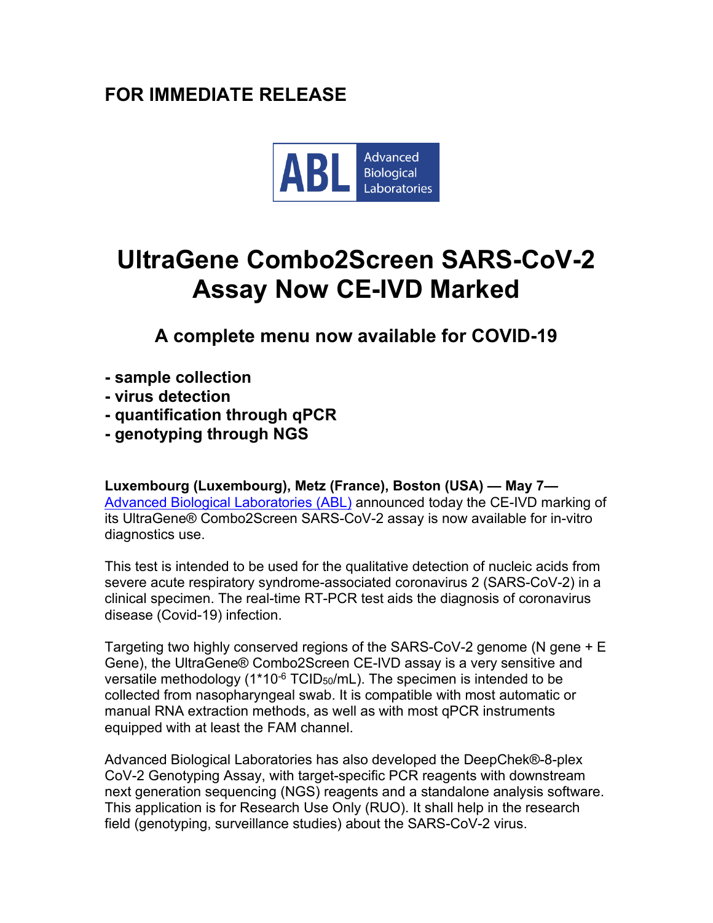## **FOR IMMEDIATE RELEASE**



## **UltraGene Combo2Screen SARS-CoV-2 Assay Now CE-IVD Marked**

**A complete menu now available for COVID-19**

- **- sample collection**
- **- virus detection**
- **- quantification through qPCR**
- **- genotyping through NGS**

**Luxembourg (Luxembourg), Metz (France), Boston (USA) — May 7—** Advanced Biological [Laboratories](https://www.ablsa.com/) (ABL) announced today the CE-IVD marking of its UltraGene® Combo2Screen SARS-CoV-2 assay is now available for in-vitro diagnostics use.

This test is intended to be used for the qualitative detection of nucleic acids from severe acute respiratory syndrome-associated coronavirus 2 (SARS-CoV-2) in a clinical specimen. The real-time RT-PCR test aids the diagnosis of coronavirus disease (Covid-19) infection.

Targeting two highly conserved regions of the SARS-CoV-2 genome (N gene + E Gene), the UltraGene® Combo2Screen CE-IVD assay is a very sensitive and versatile methodology  $(1*10^{-6} \text{TCID}_{50}/\text{mL})$ . The specimen is intended to be collected from nasopharyngeal swab. It is compatible with most automatic or manual RNA extraction methods, as well as with most qPCR instruments equipped with at least the FAM channel.

Advanced Biological Laboratories has also developed the DeepChek®-8-plex CoV-2 Genotyping Assay, with target-specific PCR reagents with downstream next generation sequencing (NGS) reagents and a standalone analysis software. This application is for Research Use Only (RUO). It shall help in the research field (genotyping, surveillance studies) about the SARS-CoV-2 virus.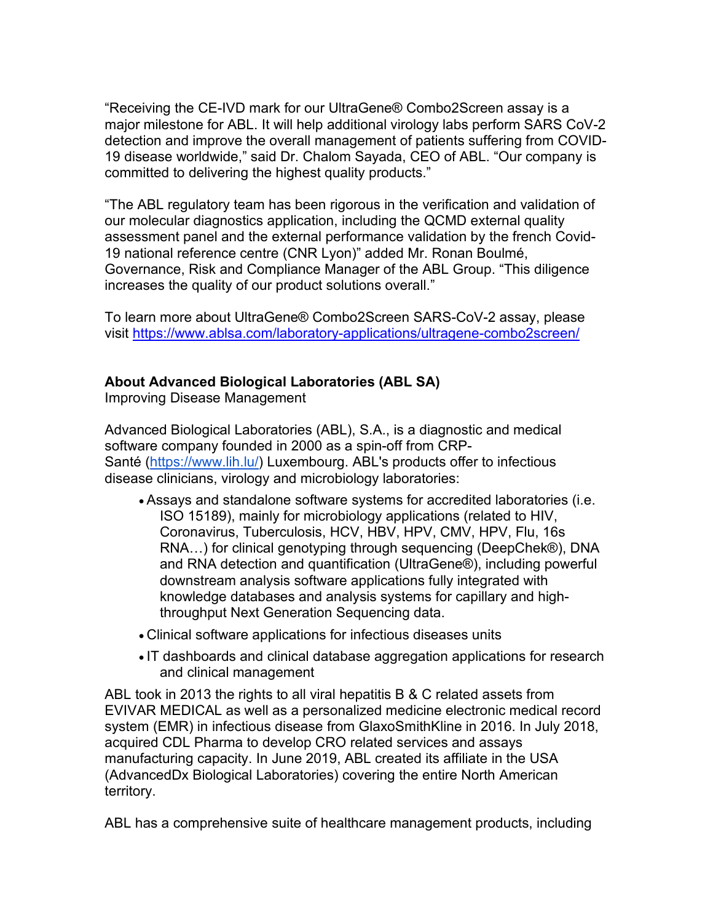"Receiving the CE-IVD mark for our UltraGene® Combo2Screen assay is a major milestone for ABL. It will help additional virology labs perform SARS CoV-2 detection and improve the overall management of patients suffering from COVID-19 disease worldwide," said Dr. Chalom Sayada, CEO of ABL. "Our company is committed to delivering the highest quality products."

"The ABL regulatory team has been rigorous in the verification and validation of our molecular diagnostics application, including the QCMD external quality assessment panel and the external performance validation by the french Covid-19 national reference centre (CNR Lyon)" added Mr. Ronan Boulmé, Governance, Risk and Compliance Manager of the ABL Group. "This diligence increases the quality of our product solutions overall."

To learn more about UltraGene® Combo2Screen SARS-CoV-2 assay, please visit <https://www.ablsa.com/laboratory-applications/ultragene-combo2screen/>

## **About Advanced Biological Laboratories (ABL SA)**

Improving Disease Management

Advanced Biological Laboratories (ABL), S.A., is a diagnostic and medical software company founded in 2000 as a spin-off from CRP-Santé [\(https://www.lih.lu/\)](https://www.lih.lu/) Luxembourg. ABL's products offer to infectious disease clinicians, virology and microbiology laboratories:

- Assays and standalone software systems for accredited laboratories (i.e. ISO 15189), mainly for microbiology applications (related to HIV, Coronavirus, Tuberculosis, HCV, HBV, HPV, CMV, HPV, Flu, 16s RNA…) for clinical genotyping through sequencing (DeepChek®), DNA and RNA detection and quantification (UltraGene®), including powerful downstream analysis software applications fully integrated with knowledge databases and analysis systems for capillary and highthroughput Next Generation Sequencing data.
- Clinical software applications for infectious diseases units
- IT dashboards and clinical database aggregation applications for research and clinical management

ABL took in 2013 the rights to all viral hepatitis B & C related assets from EVIVAR MEDICAL as well as a personalized medicine electronic medical record system (EMR) in infectious disease from GlaxoSmithKline in 2016. In July 2018, acquired CDL Pharma to develop CRO related services and assays manufacturing capacity. In June 2019, ABL created its affiliate in the USA (AdvancedDx Biological Laboratories) covering the entire North American territory.

ABL has a comprehensive suite of healthcare management products, including